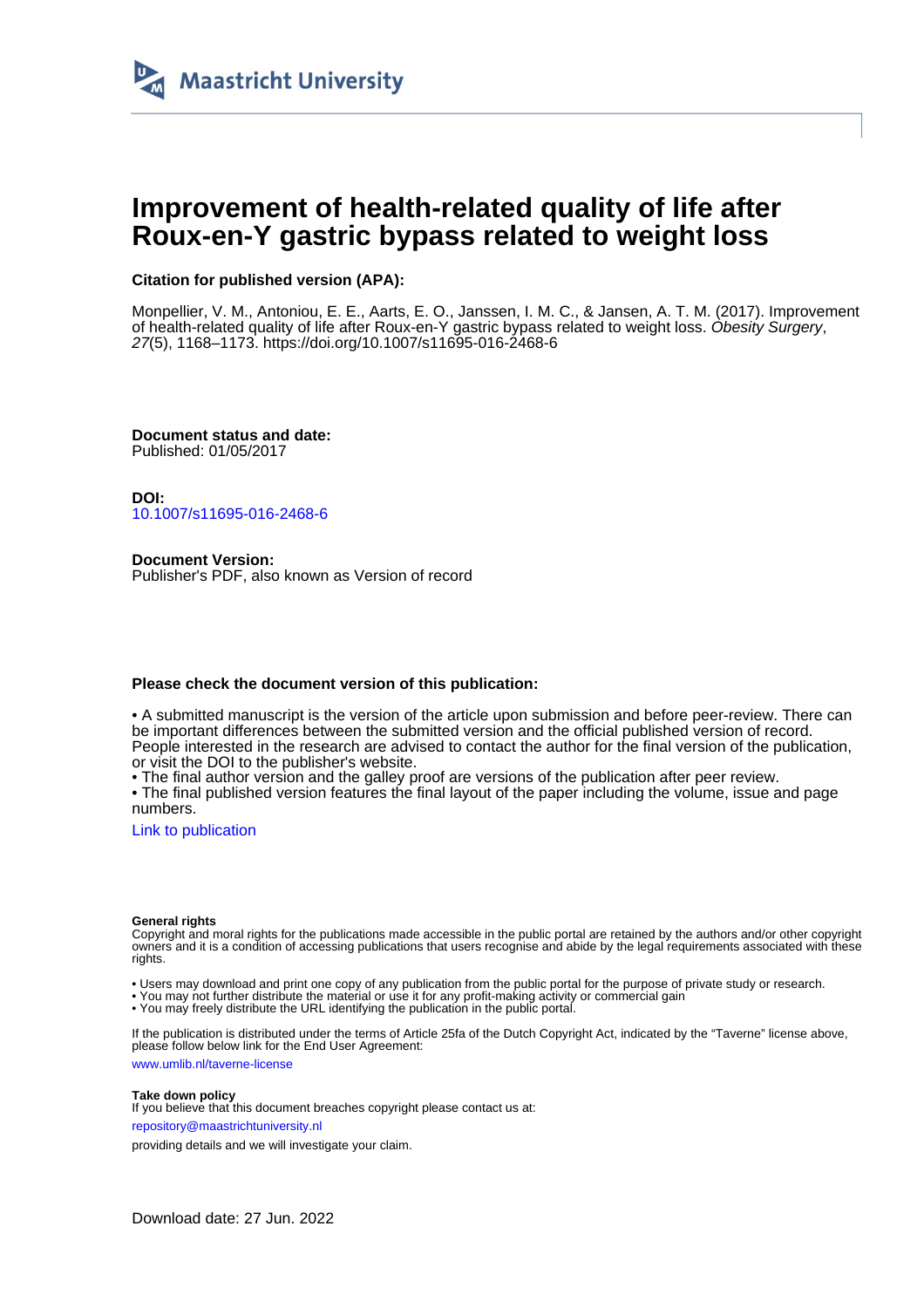

# **Improvement of health-related quality of life after Roux-en-Y gastric bypass related to weight loss**

# **Citation for published version (APA):**

Monpellier, V. M., Antoniou, E. E., Aarts, E. O., Janssen, I. M. C., & Jansen, A. T. M. (2017). Improvement of health-related quality of life after Roux-en-Y gastric bypass related to weight loss. Obesity Surgery, 27(5), 1168–1173. <https://doi.org/10.1007/s11695-016-2468-6>

**Document status and date:** Published: 01/05/2017

**DOI:** [10.1007/s11695-016-2468-6](https://doi.org/10.1007/s11695-016-2468-6)

**Document Version:** Publisher's PDF, also known as Version of record

## **Please check the document version of this publication:**

• A submitted manuscript is the version of the article upon submission and before peer-review. There can be important differences between the submitted version and the official published version of record. People interested in the research are advised to contact the author for the final version of the publication, or visit the DOI to the publisher's website.

• The final author version and the galley proof are versions of the publication after peer review.

• The final published version features the final layout of the paper including the volume, issue and page numbers.

[Link to publication](https://cris.maastrichtuniversity.nl/en/publications/e51f77b0-5464-42f8-a7f2-14132dd40ffd)

#### **General rights**

Copyright and moral rights for the publications made accessible in the public portal are retained by the authors and/or other copyright owners and it is a condition of accessing publications that users recognise and abide by the legal requirements associated with these rights.

• Users may download and print one copy of any publication from the public portal for the purpose of private study or research.

• You may not further distribute the material or use it for any profit-making activity or commercial gain

• You may freely distribute the URL identifying the publication in the public portal.

If the publication is distributed under the terms of Article 25fa of the Dutch Copyright Act, indicated by the "Taverne" license above, please follow below link for the End User Agreement:

www.umlib.nl/taverne-license

## **Take down policy**

If you believe that this document breaches copyright please contact us at: repository@maastrichtuniversity.nl

providing details and we will investigate your claim.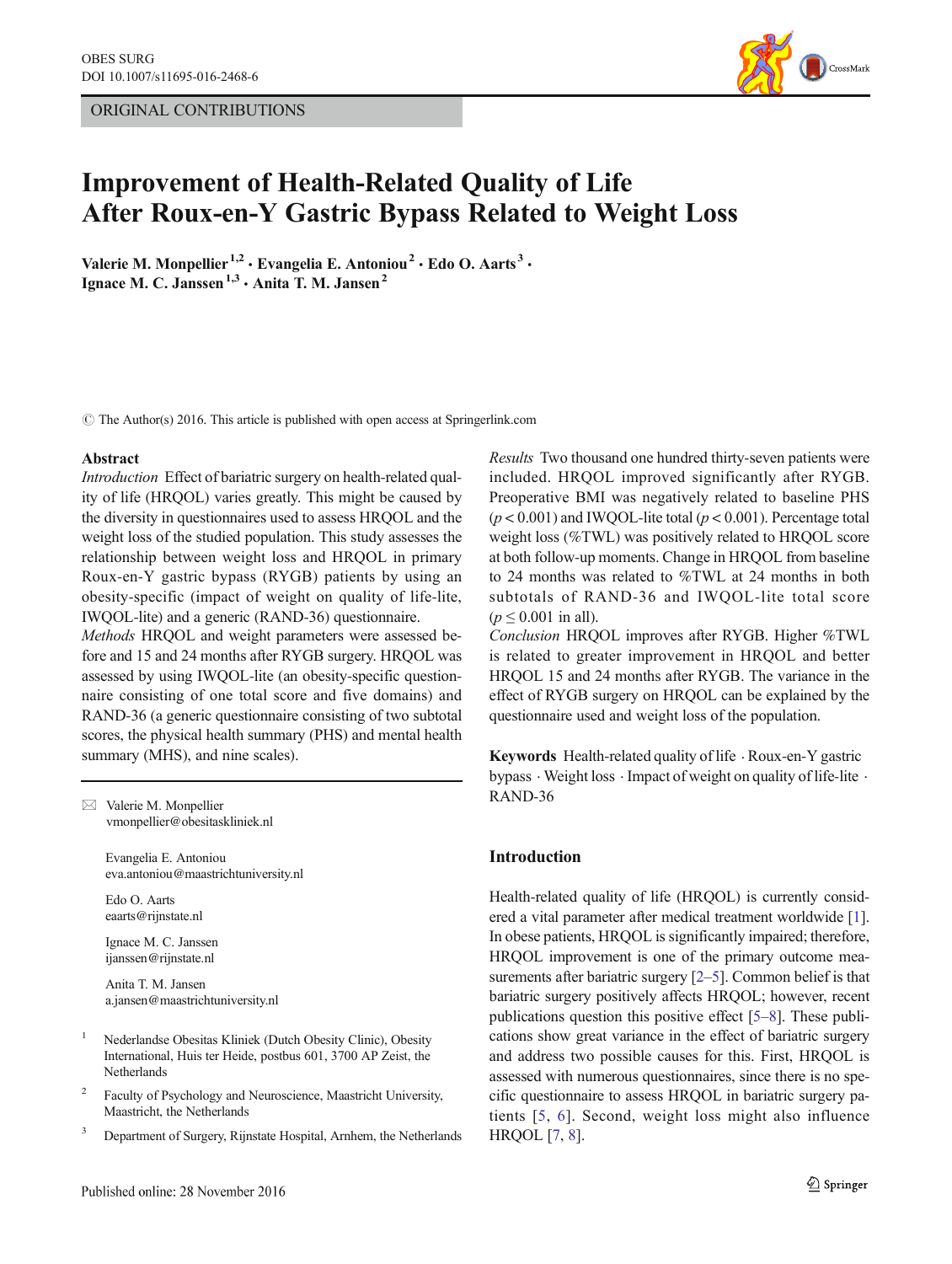# ORIGINAL CONTRIBUTIONS



# Improvement of Health-Related Quality of Life After Roux-en-Y Gastric Bypass Related to Weight Loss

Valerie M. Monpellier<sup>1,2</sup> · Evangelia E. Antoniou<sup>2</sup> · Edo O. Aarts<sup>3</sup> · Ignace M. C. Janssen<sup>1,3</sup> · Anita T. M. Jansen<sup>2</sup>

 $\odot$  The Author(s) 2016. This article is published with open access at Springerlink.com

#### Abstract

Introduction Effect of bariatric surgery on health-related quality of life (HRQOL) varies greatly. This might be caused by the diversity in questionnaires used to assess HRQOL and the weight loss of the studied population. This study assesses the relationship between weight loss and HRQOL in primary Roux-en-Y gastric bypass (RYGB) patients by using an obesity-specific (impact of weight on quality of life-lite, IWQOL-lite) and a generic (RAND-36) questionnaire.

Methods HRQOL and weight parameters were assessed before and 15 and 24 months after RYGB surgery. HRQOL was assessed by using IWQOL-lite (an obesity-specific questionnaire consisting of one total score and five domains) and RAND-36 (a generic questionnaire consisting of two subtotal scores, the physical health summary (PHS) and mental health summary (MHS), and nine scales).

 $\boxtimes$  Valerie M. Monpellier vmonpellier@obesitaskliniek.nl

> Evangelia E. Antoniou eva.antoniou@maastrichtuniversity.nl

Edo O. Aarts eaarts@rijnstate.nl

Ignace M. C. Janssen ijanssen@rijnstate.nl

Anita T. M. Jansen a.jansen@maastrichtuniversity.nl

- <sup>1</sup> Nederlandse Obesitas Kliniek (Dutch Obesity Clinic), Obesity International, Huis ter Heide, postbus 601, 3700 AP Zeist, the Netherlands
- <sup>2</sup> Faculty of Psychology and Neuroscience, Maastricht University, Maastricht, the Netherlands
- <sup>3</sup> Department of Surgery, Rijnstate Hospital, Arnhem, the Netherlands

Results Two thousand one hundred thirty-seven patients were included. HRQOL improved significantly after RYGB. Preoperative BMI was negatively related to baseline PHS  $(p < 0.001)$  and IWOOL-lite total  $(p < 0.001)$ . Percentage total weight loss (%TWL) was positively related to HRQOL score at both follow-up moments. Change in HRQOL from baseline to 24 months was related to %TWL at 24 months in both subtotals of RAND-36 and IWQOL-lite total score  $(p \le 0.001$  in all).

Conclusion HRQOL improves after RYGB. Higher %TWL is related to greater improvement in HRQOL and better HRQOL 15 and 24 months after RYGB. The variance in the effect of RYGB surgery on HRQOL can be explained by the questionnaire used and weight loss of the population.

Keywords Health-related quality of life . Roux-en-Y gastric bypass . Weight loss . Impact of weight on quality of life-lite . RAND-36

# Introduction

Health-related quality of life (HRQOL) is currently considered a vital parameter after medical treatment worldwide [[1\]](#page-6-0). In obese patients, HRQOL is significantly impaired; therefore, HRQOL improvement is one of the primary outcome measurements after bariatric surgery [[2](#page-6-0)–[5](#page-6-0)]. Common belief is that bariatric surgery positively affects HRQOL; however, recent publications question this positive effect [\[5](#page-6-0)–[8](#page-6-0)]. These publications show great variance in the effect of bariatric surgery and address two possible causes for this. First, HRQOL is assessed with numerous questionnaires, since there is no specific questionnaire to assess HRQOL in bariatric surgery patients [[5](#page-6-0), [6](#page-6-0)]. Second, weight loss might also influence HRQOL [[7,](#page-6-0) [8\]](#page-6-0).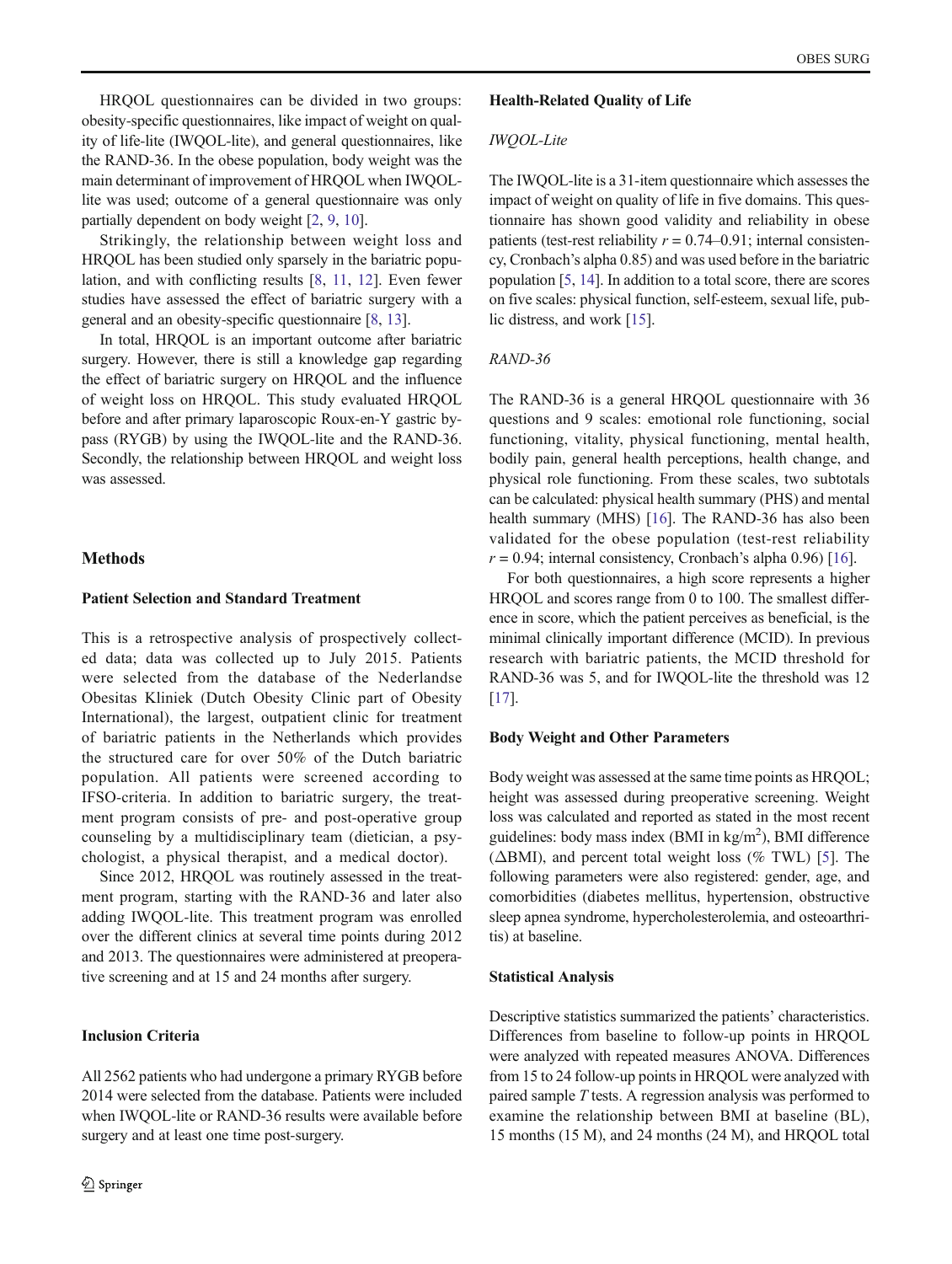HRQOL questionnaires can be divided in two groups: obesity-specific questionnaires, like impact of weight on quality of life-lite (IWQOL-lite), and general questionnaires, like the RAND-36. In the obese population, body weight was the main determinant of improvement of HRQOL when IWQOLlite was used; outcome of a general questionnaire was only partially dependent on body weight [\[2,](#page-6-0) [9,](#page-6-0) [10\]](#page-6-0).

Strikingly, the relationship between weight loss and HRQOL has been studied only sparsely in the bariatric population, and with conflicting results [[8,](#page-6-0) [11,](#page-6-0) [12\]](#page-6-0). Even fewer studies have assessed the effect of bariatric surgery with a general and an obesity-specific questionnaire [[8,](#page-6-0) [13\]](#page-6-0).

In total, HRQOL is an important outcome after bariatric surgery. However, there is still a knowledge gap regarding the effect of bariatric surgery on HRQOL and the influence of weight loss on HRQOL. This study evaluated HRQOL before and after primary laparoscopic Roux-en-Y gastric bypass (RYGB) by using the IWQOL-lite and the RAND-36. Secondly, the relationship between HRQOL and weight loss was assessed.

# Methods

## Patient Selection and Standard Treatment

This is a retrospective analysis of prospectively collected data; data was collected up to July 2015. Patients were selected from the database of the Nederlandse Obesitas Kliniek (Dutch Obesity Clinic part of Obesity International), the largest, outpatient clinic for treatment of bariatric patients in the Netherlands which provides the structured care for over 50% of the Dutch bariatric population. All patients were screened according to IFSO-criteria. In addition to bariatric surgery, the treatment program consists of pre- and post-operative group counseling by a multidisciplinary team (dietician, a psychologist, a physical therapist, and a medical doctor).

Since 2012, HRQOL was routinely assessed in the treatment program, starting with the RAND-36 and later also adding IWQOL-lite. This treatment program was enrolled over the different clinics at several time points during 2012 and 2013. The questionnaires were administered at preoperative screening and at 15 and 24 months after surgery.

## Inclusion Criteria

All 2562 patients who had undergone a primary RYGB before 2014 were selected from the database. Patients were included when IWQOL-lite or RAND-36 results were available before surgery and at least one time post-surgery.

## Health-Related Quality of Life

# IWQOL-Lite

The IWQOL-lite is a 31-item questionnaire which assesses the impact of weight on quality of life in five domains. This questionnaire has shown good validity and reliability in obese patients (test-rest reliability  $r = 0.74{\text -}0.91$ ; internal consistency, Cronbach's alpha 0.85) and was used before in the bariatric population [\[5,](#page-6-0) [14](#page-6-0)]. In addition to a total score, there are scores on five scales: physical function, self-esteem, sexual life, public distress, and work [[15](#page-6-0)].

## RAND-36

The RAND-36 is a general HRQOL questionnaire with 36 questions and 9 scales: emotional role functioning, social functioning, vitality, physical functioning, mental health, bodily pain, general health perceptions, health change, and physical role functioning. From these scales, two subtotals can be calculated: physical health summary (PHS) and mental health summary (MHS) [[16](#page-6-0)]. The RAND-36 has also been validated for the obese population (test-rest reliability  $r = 0.94$ ; internal consistency, Cronbach's alpha 0.96) [\[16\]](#page-6-0).

For both questionnaires, a high score represents a higher HRQOL and scores range from 0 to 100. The smallest difference in score, which the patient perceives as beneficial, is the minimal clinically important difference (MCID). In previous research with bariatric patients, the MCID threshold for RAND-36 was 5, and for IWQOL-lite the threshold was 12 [\[17](#page-6-0)].

### Body Weight and Other Parameters

Body weight was assessed at the same time points as HRQOL; height was assessed during preoperative screening. Weight loss was calculated and reported as stated in the most recent guidelines: body mass index (BMI in kg/m<sup>2</sup>), BMI difference  $(\triangle BMI)$ , and percent total weight loss (% TWL) [\[5](#page-6-0)]. The following parameters were also registered: gender, age, and comorbidities (diabetes mellitus, hypertension, obstructive sleep apnea syndrome, hypercholesterolemia, and osteoarthritis) at baseline.

### Statistical Analysis

Descriptive statistics summarized the patients' characteristics. Differences from baseline to follow-up points in HRQOL were analyzed with repeated measures ANOVA. Differences from 15 to 24 follow-up points in HRQOL were analyzed with paired sample T tests. A regression analysis was performed to examine the relationship between BMI at baseline (BL), 15 months (15 M), and 24 months (24 M), and HRQOL total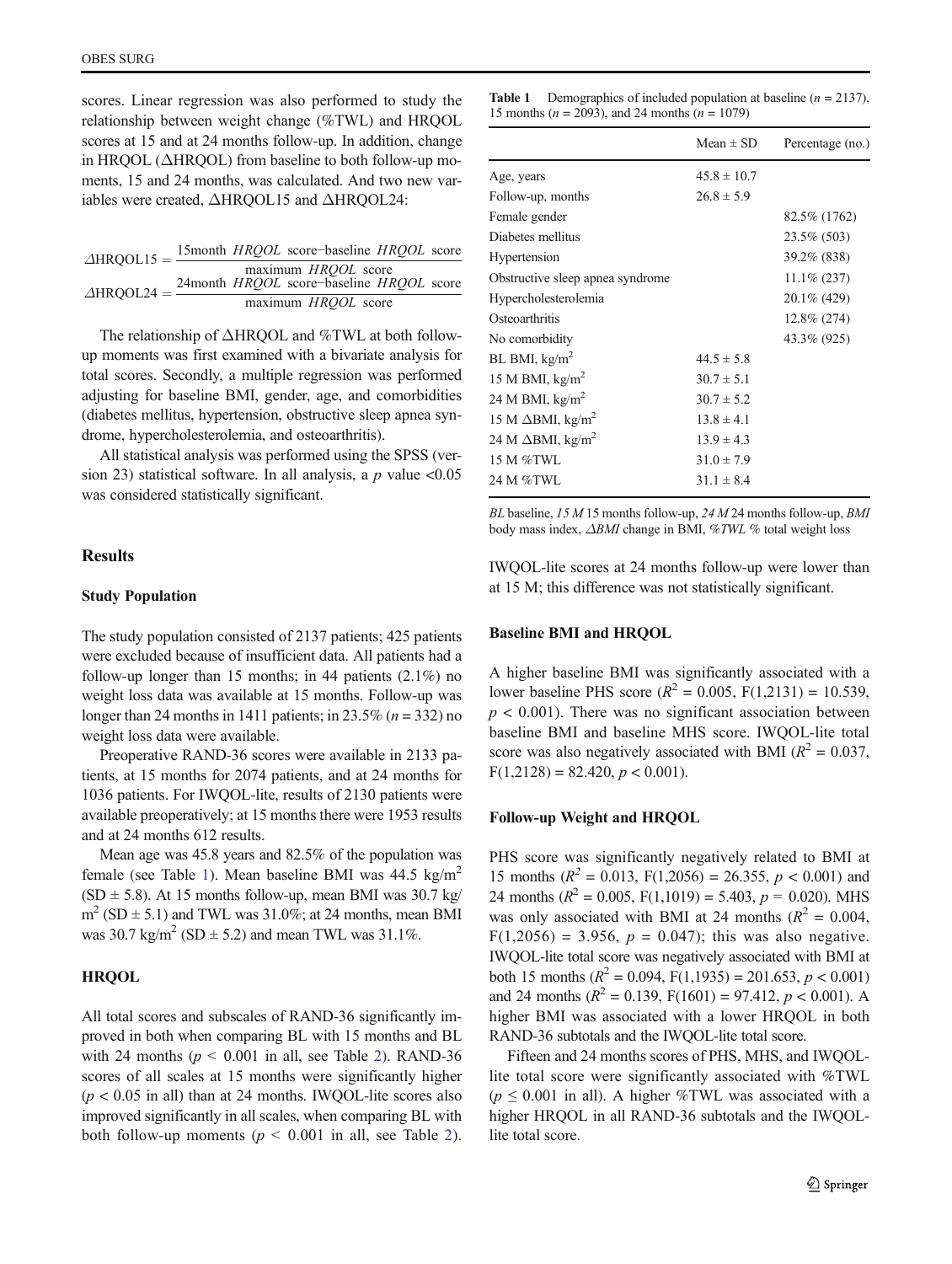scores. Linear regression was also performed to study the relationship between weight change (%TWL) and HRQOL scores at 15 and at 24 months follow-up. In addition, change in HROOL (ΔHROOL) from baseline to both follow-up moments, 15 and 24 months, was calculated. And two new variables were created, ΔHRQOL15 and ΔHRQOL24:

| $\triangle$ HROOL15 = $\frac{15 \text{ mO}_{\text{BH}}}{4}$ |  | 15month <i>HROOL</i> score-baseline <i>HROOL</i> score |  |
|-------------------------------------------------------------|--|--------------------------------------------------------|--|
|                                                             |  | maximum HRQOL score                                    |  |
| $\triangle$ HROOL24 = $\frac{2+111}{2}$                     |  | 24month <i>HROOL</i> score-baseline <i>HROOL</i> score |  |
|                                                             |  | maximum HRQOL score                                    |  |

The relationship of ΔHRQOL and %TWL at both followup moments was first examined with a bivariate analysis for total scores. Secondly, a multiple regression was performed adjusting for baseline BMI, gender, age, and comorbidities (diabetes mellitus, hypertension, obstructive sleep apnea syndrome, hypercholesterolemia, and osteoarthritis).

All statistical analysis was performed using the SPSS (version 23) statistical software. In all analysis, a  $p$  value <0.05 was considered statistically significant.

# **Results**

#### Study Population

The study population consisted of 2137 patients; 425 patients were excluded because of insufficient data. All patients had a follow-up longer than 15 months; in 44 patients  $(2.1\%)$  no weight loss data was available at 15 months. Follow-up was longer than 24 months in 1411 patients; in 23.5% ( $n = 332$ ) no weight loss data were available.

Preoperative RAND-36 scores were available in 2133 patients, at 15 months for 2074 patients, and at 24 months for 1036 patients. For IWQOL-lite, results of 2130 patients were available preoperatively; at 15 months there were 1953 results and at 24 months 612 results.

Mean age was 45.8 years and 82.5% of the population was female (see Table 1). Mean baseline BMI was  $44.5 \text{ kg/m}^2$  $(SD \pm 5.8)$ . At 15 months follow-up, mean BMI was 30.7 kg/  $m<sup>2</sup>$  (SD  $\pm$  5.1) and TWL was 31.0%; at 24 months, mean BMI was  $30.7 \text{ kg/m}^2 \text{ (SD } \pm 5.2)$  and mean TWL was  $31.1\%$ .

## **HRQOL**

All total scores and subscales of RAND-36 significantly improved in both when comparing BL with 15 months and BL with 24 months ( $p \le 0.001$  in all, see Table [2\)](#page-4-0). RAND-36 scores of all scales at 15 months were significantly higher  $(p < 0.05$  in all) than at 24 months. IWQOL-lite scores also improved significantly in all scales, when comparing BL with both follow-up moments ( $p \le 0.001$  in all, see Table [2](#page-4-0)).

**Table 1** Demographics of included population at baseline  $(n = 2137)$ , 15 months ( $n = 2093$ ), and 24 months ( $n = 1079$ )

| Mean $\pm$ SD   | Percentage (no.) |
|-----------------|------------------|
| $45.8 \pm 10.7$ |                  |
| $26.8 \pm 5.9$  |                  |
|                 | 82.5% (1762)     |
|                 | 23.5% (503)      |
|                 | 39.2% (838)      |
|                 | $11.1\% (237)$   |
|                 | 20.1\% (429)     |
|                 | 12.8% (274)      |
|                 | 43.3% (925)      |
| $44.5 \pm 5.8$  |                  |
| $30.7 \pm 5.1$  |                  |
| $30.7 \pm 5.2$  |                  |
| $13.8 \pm 4.1$  |                  |
| $13.9 \pm 4.3$  |                  |
| $31.0 \pm 7.9$  |                  |
| $31.1 \pm 8.4$  |                  |
|                 |                  |

BL baseline, 15 M 15 months follow-up, 24 M 24 months follow-up, BMI body mass index, ΔBMI change in BMI, %TWL % total weight loss

IWQOL-lite scores at 24 months follow-up were lower than at 15 M; this difference was not statistically significant.

#### Baseline BMI and HRQOL

A higher baseline BMI was significantly associated with a lower baseline PHS score ( $R^2 = 0.005$ , F(1,2131) = 10.539,  $p < 0.001$ ). There was no significant association between baseline BMI and baseline MHS score. IWQOL-lite total score was also negatively associated with BMI ( $R^2 = 0.037$ ,  $F(1,2128) = 82.420, p < 0.001$ .

#### Follow-up Weight and HRQOL

PHS score was significantly negatively related to BMI at 15 months ( $R^2 = 0.013$ , F(1,2056) = 26.355,  $p < 0.001$ ) and 24 months ( $R^2 = 0.005$ , F(1,1019) = 5.403,  $p = 0.020$ ). MHS was only associated with BMI at 24 months ( $R^2 = 0.004$ ,  $F(1,2056) = 3.956$ ,  $p = 0.047$ ; this was also negative. IWQOL-lite total score was negatively associated with BMI at both 15 months ( $R^2 = 0.094$ ,  $F(1,1935) = 201.653$ ,  $p < 0.001$ ) and 24 months ( $R^2 = 0.139$ ,  $F(1601) = 97.412$ ,  $p < 0.001$ ). A higher BMI was associated with a lower HRQOL in both RAND-36 subtotals and the IWQOL-lite total score.

Fifteen and 24 months scores of PHS, MHS, and IWQOLlite total score were significantly associated with %TWL  $(p \le 0.001$  in all). A higher %TWL was associated with a higher HRQOL in all RAND-36 subtotals and the IWQOLlite total score.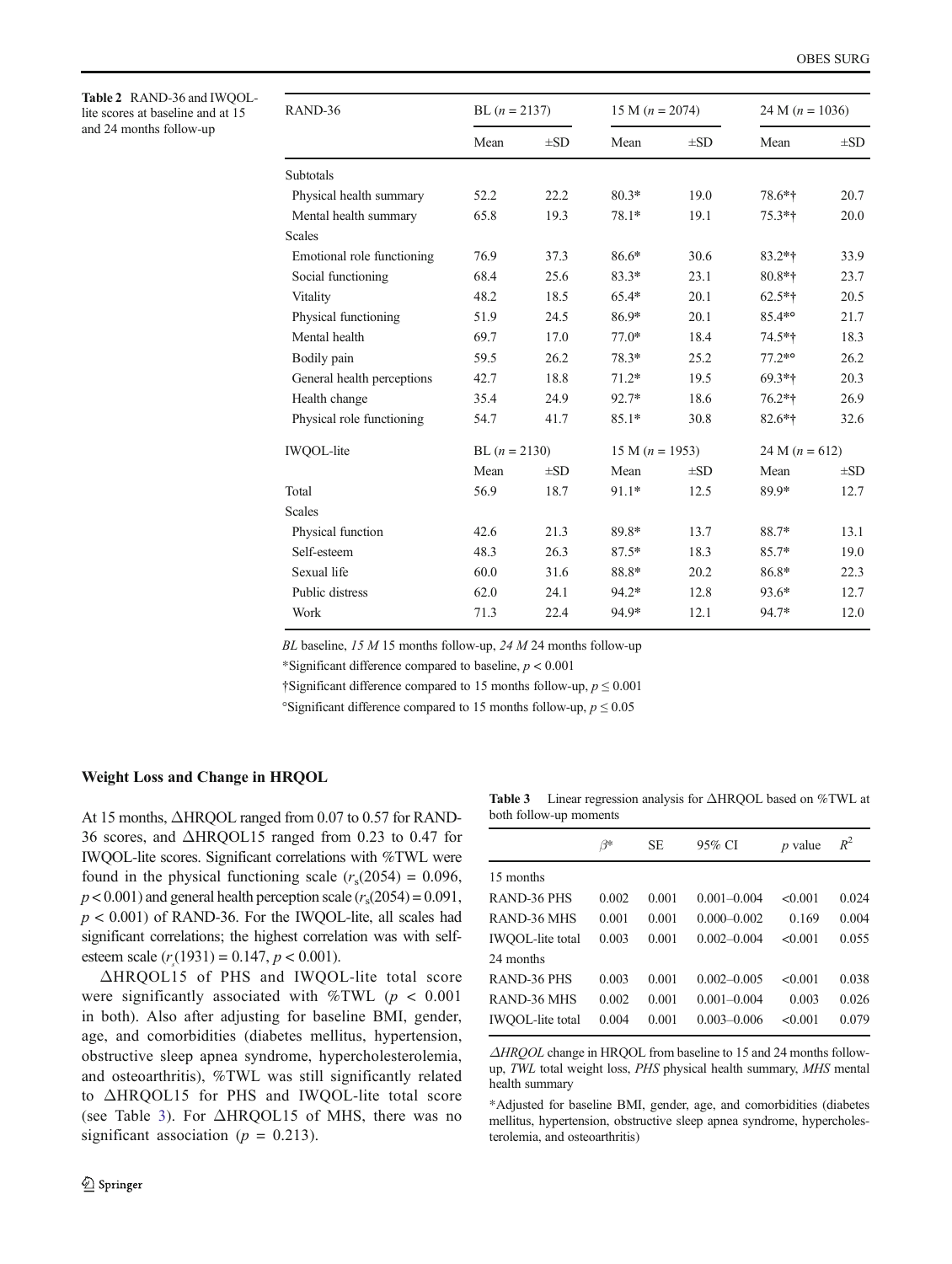<span id="page-4-0"></span>Table 2 RAND-36 and IWQOLlite scores at baseline and at 15 and 24 months follow-up

| RAND-36                    | BL $(n = 2137)$ |          | 15 M $(n = 2074)$ |          | 24 M $(n = 1036)$ |          |
|----------------------------|-----------------|----------|-------------------|----------|-------------------|----------|
|                            | Mean            | $\pm SD$ | Mean              | $\pm SD$ | Mean              | $\pm SD$ |
| Subtotals                  |                 |          |                   |          |                   |          |
| Physical health summary    | 52.2            | 22.2     | $80.3*$           | 19.0     | 78.6*†            | 20.7     |
| Mental health summary      | 65.8            | 19.3     | 78.1*             | 19.1     | $75.3*$ †         | 20.0     |
| <b>Scales</b>              |                 |          |                   |          |                   |          |
| Emotional role functioning | 76.9            | 37.3     | 86.6*             | 30.6     | $83.2*+$          | 33.9     |
| Social functioning         | 68.4            | 25.6     | $83.3*$           | 23.1     | $80.8*+$          | 23.7     |
| Vitality                   | 48.2            | 18.5     | $65.4*$           | 20.1     | $62.5*+$          | 20.5     |
| Physical functioning       | 51.9            | 24.5     | 86.9*             | 20.1     | 85.4**            | 21.7     |
| Mental health              | 69.7            | 17.0     | $77.0*$           | 18.4     | 74.5*†            | 18.3     |
| Bodily pain                | 59.5            | 26.2     | $78.3*$           | 25.2     | $77.2*°$          | 26.2     |
| General health perceptions | 42.7            | 18.8     | $71.2*$           | 19.5     | $69.3*$ †         | 20.3     |
| Health change              | 35.4            | 24.9     | $92.7*$           | 18.6     | $76.2*$ †         | 26.9     |
| Physical role functioning  | 54.7            | 41.7     | $85.1*$           | 30.8     | 82.6*†            | 32.6     |
| IWQOL-lite                 | BL $(n = 2130)$ |          | 15 M $(n = 1953)$ |          | 24 M $(n = 612)$  |          |
|                            | Mean            | $\pm SD$ | Mean              | $\pm SD$ | Mean              | $\pm SD$ |
| Total                      | 56.9            | 18.7     | $91.1*$           | 12.5     | 89.9*             | 12.7     |
| <b>Scales</b>              |                 |          |                   |          |                   |          |
| Physical function          | 42.6            | 21.3     | 89.8*             | 13.7     | 88.7*             | 13.1     |
| Self-esteem                | 48.3            | 26.3     | $87.5*$           | 18.3     | $85.7*$           | 19.0     |
| Sexual life                | 60.0            | 31.6     | 88.8*             | 20.2     | 86.8*             | 22.3     |
| Public distress            | 62.0            | 24.1     | $94.2*$           | 12.8     | 93.6*             | 12.7     |
| Work                       | 71.3            | 22.4     | 94.9*             | 12.1     | 94.7*             | 12.0     |

BL baseline,  $15 M 15$  months follow-up,  $24 M 24$  months follow-up

\*Significant difference compared to baseline,  $p < 0.001$ 

†Significant difference compared to 15 months follow-up,  $p \le 0.001$ 

°Significant difference compared to 15 months follow-up,  $p \le 0.05$ 

## Weight Loss and Change in HRQOL

At 15 months, ΔHRQOL ranged from 0.07 to 0.57 for RAND-36 scores, and ΔHRQOL15 ranged from 0.23 to 0.47 for IWQOL-lite scores. Significant correlations with %TWL were found in the physical functioning scale  $(r_s(2054) = 0.096$ ,  $p < 0.001$ ) and general health perception scale  $(r<sub>s</sub>(2054) = 0.091)$ ,  $p < 0.001$ ) of RAND-36. For the IWQOL-lite, all scales had significant correlations; the highest correlation was with selfesteem scale  $(r_s(1931) = 0.147, p < 0.001)$ .

ΔHRQOL15 of PHS and IWQOL-lite total score were significantly associated with %TWL ( $p < 0.001$ ) in both). Also after adjusting for baseline BMI, gender, age, and comorbidities (diabetes mellitus, hypertension, obstructive sleep apnea syndrome, hypercholesterolemia, and osteoarthritis), %TWL was still significantly related to ΔHRQOL15 for PHS and IWQOL-lite total score (see Table 3). For ΔHRQOL15 of MHS, there was no significant association ( $p = 0.213$ ).

Table 3 Linear regression analysis for ΔHRQOL based on %TWL at both follow-up moments

|                    | ß∗    | SE.   | 95% CI          | $p$ value | $R^2$ |
|--------------------|-------|-------|-----------------|-----------|-------|
| 15 months          |       |       |                 |           |       |
| <b>RAND-36 PHS</b> | 0.002 | 0.001 | $0.001 - 0.004$ | < 0.001   | 0.024 |
| RAND-36 MHS        | 0.001 | 0.001 | $0.000 - 0.002$ | 0.169     | 0.004 |
| IWQOL-lite total   | 0.003 | 0.001 | $0.002 - 0.004$ | < 0.001   | 0.055 |
| 24 months          |       |       |                 |           |       |
| RAND-36 PHS        | 0.003 | 0.001 | $0.002 - 0.005$ | < 0.001   | 0.038 |
| RAND-36 MHS        | 0.002 | 0.001 | $0.001 - 0.004$ | 0.003     | 0.026 |
| IWQOL-lite total   | 0.004 | 0.001 | $0.003 - 0.006$ | < 0.001   | 0.079 |
|                    |       |       |                 |           |       |

ΔHRQOL change in HRQOL from baseline to 15 and 24 months followup, TWL total weight loss, PHS physical health summary, MHS mental health summary

\*Adjusted for baseline BMI, gender, age, and comorbidities (diabetes mellitus, hypertension, obstructive sleep apnea syndrome, hypercholesterolemia, and osteoarthritis)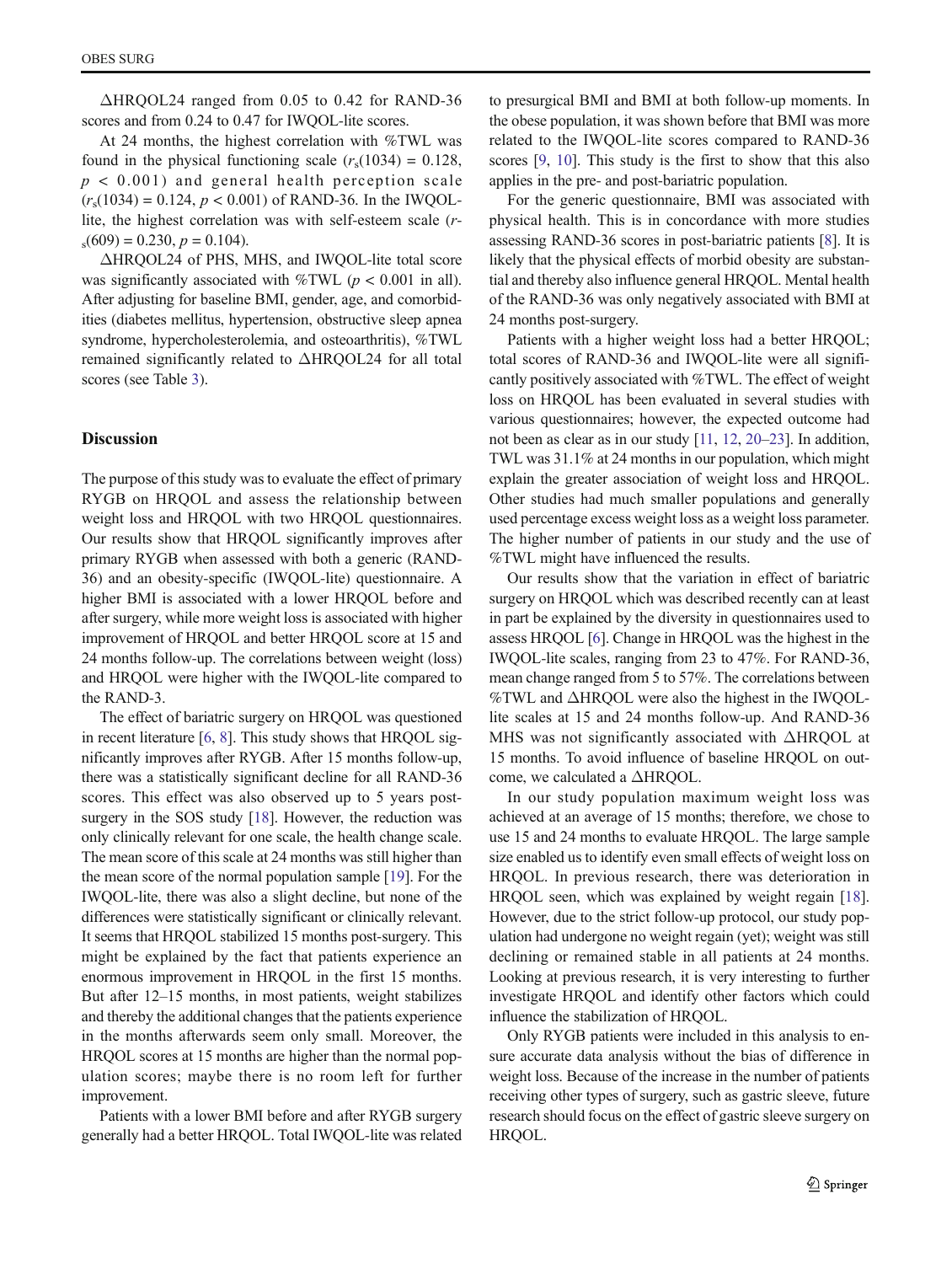ΔHRQOL24 ranged from 0.05 to 0.42 for RAND-36 scores and from 0.24 to 0.47 for IWQOL-lite scores.

At 24 months, the highest correlation with %TWL was found in the physical functioning scale  $(r_s(1034) = 0.128$ ,  $p < 0.001$ ) and general health perception scale  $(r_s(1034) = 0.124, p < 0.001)$  of RAND-36. In the IWQOLlite, the highest correlation was with self-esteem scale (r $s(609) = 0.230, p = 0.104$ .

ΔHRQOL24 of PHS, MHS, and IWQOL-lite total score was significantly associated with %TWL ( $p < 0.001$  in all). After adjusting for baseline BMI, gender, age, and comorbidities (diabetes mellitus, hypertension, obstructive sleep apnea syndrome, hypercholesterolemia, and osteoarthritis), %TWL remained significantly related to ΔHRQOL24 for all total scores (see Table [3\)](#page-4-0).

# Discussion

The purpose of this study was to evaluate the effect of primary RYGB on HRQOL and assess the relationship between weight loss and HRQOL with two HRQOL questionnaires. Our results show that HRQOL significantly improves after primary RYGB when assessed with both a generic (RAND-36) and an obesity-specific (IWQOL-lite) questionnaire. A higher BMI is associated with a lower HRQOL before and after surgery, while more weight loss is associated with higher improvement of HRQOL and better HRQOL score at 15 and 24 months follow-up. The correlations between weight (loss) and HRQOL were higher with the IWQOL-lite compared to the RAND-3.

The effect of bariatric surgery on HRQOL was questioned in recent literature [[6](#page-6-0), [8](#page-6-0)]. This study shows that HRQOL significantly improves after RYGB. After 15 months follow-up, there was a statistically significant decline for all RAND-36 scores. This effect was also observed up to 5 years postsurgery in the SOS study [[18](#page-6-0)]. However, the reduction was only clinically relevant for one scale, the health change scale. The mean score of this scale at 24 months was still higher than the mean score of the normal population sample [\[19](#page-6-0)]. For the IWQOL-lite, there was also a slight decline, but none of the differences were statistically significant or clinically relevant. It seems that HRQOL stabilized 15 months post-surgery. This might be explained by the fact that patients experience an enormous improvement in HRQOL in the first 15 months. But after 12–15 months, in most patients, weight stabilizes and thereby the additional changes that the patients experience in the months afterwards seem only small. Moreover, the HRQOL scores at 15 months are higher than the normal population scores; maybe there is no room left for further improvement.

Patients with a lower BMI before and after RYGB surgery generally had a better HRQOL. Total IWQOL-lite was related to presurgical BMI and BMI at both follow-up moments. In the obese population, it was shown before that BMI was more related to the IWQOL-lite scores compared to RAND-36 scores [\[9,](#page-6-0) [10\]](#page-6-0). This study is the first to show that this also applies in the pre- and post-bariatric population.

For the generic questionnaire, BMI was associated with physical health. This is in concordance with more studies assessing RAND-36 scores in post-bariatric patients [[8\]](#page-6-0). It is likely that the physical effects of morbid obesity are substantial and thereby also influence general HRQOL. Mental health of the RAND-36 was only negatively associated with BMI at 24 months post-surgery.

Patients with a higher weight loss had a better HRQOL; total scores of RAND-36 and IWQOL-lite were all significantly positively associated with %TWL. The effect of weight loss on HRQOL has been evaluated in several studies with various questionnaires; however, the expected outcome had not been as clear as in our study [\[11,](#page-6-0) [12,](#page-6-0) [20](#page-6-0)–[23](#page-6-0)]. In addition, TWL was 31.1% at 24 months in our population, which might explain the greater association of weight loss and HRQOL. Other studies had much smaller populations and generally used percentage excess weight loss as a weight loss parameter. The higher number of patients in our study and the use of %TWL might have influenced the results.

Our results show that the variation in effect of bariatric surgery on HRQOL which was described recently can at least in part be explained by the diversity in questionnaires used to assess HRQOL [[6\]](#page-6-0). Change in HRQOL was the highest in the IWQOL-lite scales, ranging from 23 to 47%. For RAND-36, mean change ranged from 5 to 57%. The correlations between %TWL and ΔHRQOL were also the highest in the IWQOLlite scales at 15 and 24 months follow-up. And RAND-36 MHS was not significantly associated with ΔHRQOL at 15 months. To avoid influence of baseline HRQOL on outcome, we calculated a ΔHRQOL.

In our study population maximum weight loss was achieved at an average of 15 months; therefore, we chose to use 15 and 24 months to evaluate HRQOL. The large sample size enabled us to identify even small effects of weight loss on HRQOL. In previous research, there was deterioration in HRQOL seen, which was explained by weight regain [[18\]](#page-6-0). However, due to the strict follow-up protocol, our study population had undergone no weight regain (yet); weight was still declining or remained stable in all patients at 24 months. Looking at previous research, it is very interesting to further investigate HRQOL and identify other factors which could influence the stabilization of HRQOL.

Only RYGB patients were included in this analysis to ensure accurate data analysis without the bias of difference in weight loss. Because of the increase in the number of patients receiving other types of surgery, such as gastric sleeve, future research should focus on the effect of gastric sleeve surgery on HRQOL.